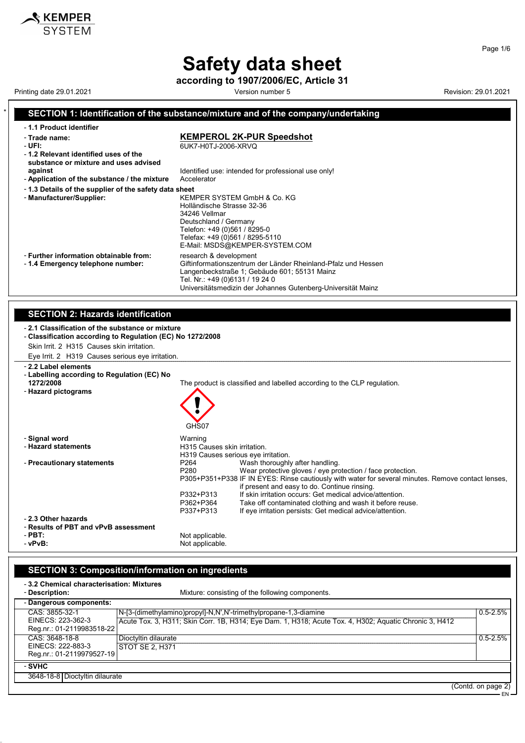according to 1907/2006/EC, Article 31

Printing date 29.01.2021 **Revision: 29.01.2021** Version number 5

**KEMPER**<br>SYSTEM

## SECTION 1: Identification of the substance/mixture and of the company/undertaking

| - 1.1 Product identifier                                                          |                                                                                                                                                                                                                                            |
|-----------------------------------------------------------------------------------|--------------------------------------------------------------------------------------------------------------------------------------------------------------------------------------------------------------------------------------------|
| - Trade name:<br>- UFI:                                                           | <b>KEMPEROL 2K-PUR Speedshot</b><br>6UK7-H0TJ-2006-XRVQ                                                                                                                                                                                    |
| -1.2 Relevant identified uses of the<br>substance or mixture and uses advised     |                                                                                                                                                                                                                                            |
| against<br>- Application of the substance / the mixture                           | Identified use: intended for professional use only!<br>Accelerator                                                                                                                                                                         |
| -1.3 Details of the supplier of the safety data sheet<br>- Manufacturer/Supplier: | KEMPER SYSTEM GmbH & Co. KG<br>Holländische Strasse 32-36<br>34246 Vellmar<br>Deutschland / Germany<br>Telefon: +49 (0)561 / 8295-0<br>Telefax: +49 (0)561 / 8295-5110<br>E-Mail: MSDS@KEMPER-SYSTEM.COM                                   |
| - Further information obtainable from:<br>-1.4 Emergency telephone number:        | research & development<br>Giftinformationszentrum der Länder Rheinland-Pfalz und Hessen<br>Langenbeckstraße 1; Gebäude 601; 55131 Mainz<br>Tel. Nr.: +49 (0)6131 / 19 24 0<br>Universitätsmedizin der Johannes Gutenberg-Universität Mainz |

#### SECTION 2: Hazards identification

| SECTION 2. Hazards Identification                                                                                                                                                                               |                                                                                                                                                                                                                                                                                                                                                                                                                                                                                                                         |
|-----------------------------------------------------------------------------------------------------------------------------------------------------------------------------------------------------------------|-------------------------------------------------------------------------------------------------------------------------------------------------------------------------------------------------------------------------------------------------------------------------------------------------------------------------------------------------------------------------------------------------------------------------------------------------------------------------------------------------------------------------|
| -2.1 Classification of the substance or mixture<br>- Classification according to Regulation (EC) No 1272/2008<br>Skin Irrit. 2 H315 Causes skin irritation.<br>Eye Irrit. 2 H319 Causes serious eye irritation. |                                                                                                                                                                                                                                                                                                                                                                                                                                                                                                                         |
| - 2.2 Label elements<br>- Labelling according to Regulation (EC) No<br>1272/2008<br>- Hazard pictograms                                                                                                         | The product is classified and labelled according to the CLP regulation.<br>GHS07                                                                                                                                                                                                                                                                                                                                                                                                                                        |
| - Signal word<br>- Hazard statements                                                                                                                                                                            | Warning<br>H315 Causes skin irritation.<br>H319 Causes serious eye irritation.                                                                                                                                                                                                                                                                                                                                                                                                                                          |
| - Precautionary statements                                                                                                                                                                                      | P <sub>264</sub><br>Wash thoroughly after handling.<br>P <sub>280</sub><br>Wear protective gloves / eye protection / face protection.<br>P305+P351+P338 IF IN EYES: Rinse cautiously with water for several minutes. Remove contact lenses,<br>if present and easy to do. Continue rinsing.<br>If skin irritation occurs: Get medical advice/attention.<br>P332+P313<br>P362+P364<br>Take off contaminated clothing and wash it before reuse.<br>If eye irritation persists: Get medical advice/attention.<br>P337+P313 |
| - 2.3 Other hazards<br>- Results of PBT and vPvB assessment<br>- PBT:<br>- vPvB:                                                                                                                                | Not applicable.<br>Not applicable.                                                                                                                                                                                                                                                                                                                                                                                                                                                                                      |

## SECTION 3: Composition/information on ingredients

52.0.5

| -3.2 Chemical characterisation: Mixtures                         |                                                                                                                                                                            |                    |
|------------------------------------------------------------------|----------------------------------------------------------------------------------------------------------------------------------------------------------------------------|--------------------|
| - Description:                                                   | Mixture: consisting of the following components.                                                                                                                           |                    |
| - Dangerous components:                                          |                                                                                                                                                                            |                    |
| CAS: 3855-32-1<br>EINECS: 223-362-3<br>Reg.nr.: 01-2119983518-22 | N-[3-(dimethylamino)propyl]-N,N',N'-trimethylpropane-1,3-diamine<br>Acute Tox. 3, H311; Skin Corr. 1B, H314; Eye Dam. 1, H318; Acute Tox. 4, H302; Aquatic Chronic 3, H412 | $0.5 - 2.5%$       |
| CAS: 3648-18-8<br>EINECS: 222-883-3<br>Reg.nr.: 01-2119979527-19 | Dioctyltin dilaurate<br>STOT SE 2. H371                                                                                                                                    | $0.5 - 2.5%$       |
| - SVHC                                                           |                                                                                                                                                                            |                    |
| 3648-18-8 Dioctyltin dilaurate                                   |                                                                                                                                                                            |                    |
|                                                                  |                                                                                                                                                                            | (Contd. on page 2) |

Page 1/6

EN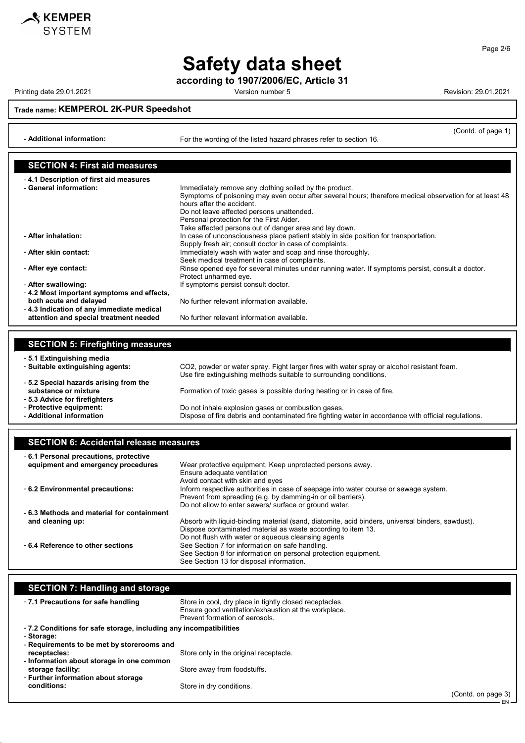

according to 1907/2006/EC, Article 31

Printing date 29.01.2021 **Printing date 29.01.2021** Cersion number 5

**KEMPER**<br>SYSTEM

Trade name: KEMPEROL 2K-PUR Speedshot

- Additional information: For the wording of the listed hazard phrases refer to section 16.

(Contd. of page 1)

EN

| <b>SECTION 4: First aid measures</b>                               |                                                                                                                                      |
|--------------------------------------------------------------------|--------------------------------------------------------------------------------------------------------------------------------------|
| -4.1 Description of first aid measures                             |                                                                                                                                      |
| - General information:                                             | Immediately remove any clothing soiled by the product.                                                                               |
|                                                                    | Symptoms of poisoning may even occur after several hours; therefore medical observation for at least 48<br>hours after the accident. |
|                                                                    | Do not leave affected persons unattended.                                                                                            |
|                                                                    | Personal protection for the First Aider.                                                                                             |
|                                                                    | Take affected persons out of danger area and lay down.                                                                               |
| - After inhalation:                                                | In case of unconsciousness place patient stably in side position for transportation.                                                 |
|                                                                    | Supply fresh air; consult doctor in case of complaints.                                                                              |
| - After skin contact:                                              | Immediately wash with water and soap and rinse thoroughly.                                                                           |
|                                                                    | Seek medical treatment in case of complaints.                                                                                        |
| - After eye contact:                                               | Rinse opened eye for several minutes under running water. If symptoms persist, consult a doctor.                                     |
|                                                                    | Protect unharmed eye.                                                                                                                |
| - After swallowing:                                                | If symptoms persist consult doctor.                                                                                                  |
| -4.2 Most important symptoms and effects,                          |                                                                                                                                      |
| both acute and delayed<br>-4.3 Indication of any immediate medical | No further relevant information available.                                                                                           |
| attention and special treatment needed                             | No further relevant information available.                                                                                           |
|                                                                    |                                                                                                                                      |

| <b>SECTION 5: Firefighting measures</b> |                                                                                                                                                                  |
|-----------------------------------------|------------------------------------------------------------------------------------------------------------------------------------------------------------------|
| -5.1 Extinguishing media                |                                                                                                                                                                  |
| - Suitable extinguishing agents:        | CO2, powder or water spray. Fight larger fires with water spray or alcohol resistant foam.<br>Use fire extinguishing methods suitable to surrounding conditions. |
| -5.2 Special hazards arising from the   |                                                                                                                                                                  |
| substance or mixture                    | Formation of toxic gases is possible during heating or in case of fire.                                                                                          |
| - 5.3 Advice for firefighters           |                                                                                                                                                                  |
| - Protective equipment:                 | Do not inhale explosion gases or combustion gases.                                                                                                               |
| - Additional information                | Dispose of fire debris and contaminated fire fighting water in accordance with official regulations.                                                             |

| <b>SECTION 6: Accidental release measures</b> |  |
|-----------------------------------------------|--|
|-----------------------------------------------|--|

52.0.5

| -6.1 Personal precautions, protective     |                                                                                                  |
|-------------------------------------------|--------------------------------------------------------------------------------------------------|
| equipment and emergency procedures        | Wear protective equipment. Keep unprotected persons away.                                        |
|                                           | Ensure adequate ventilation                                                                      |
|                                           | Avoid contact with skin and eyes                                                                 |
| - 6.2 Environmental precautions:          | Inform respective authorities in case of seepage into water course or sewage system.             |
|                                           | Prevent from spreading (e.g. by damming-in or oil barriers).                                     |
|                                           | Do not allow to enter sewers/ surface or ground water.                                           |
| -6.3 Methods and material for containment |                                                                                                  |
| and cleaning up:                          | Absorb with liquid-binding material (sand, diatomite, acid binders, universal binders, sawdust). |
|                                           | Dispose contaminated material as waste according to item 13.                                     |
|                                           | Do not flush with water or aqueous cleansing agents                                              |
| - 6.4 Reference to other sections         | See Section 7 for information on safe handling.                                                  |
|                                           | See Section 8 for information on personal protection equipment.                                  |
|                                           | See Section 13 for disposal information.                                                         |

| <b>SECTION 7: Handling and storage</b>                            |                                                                                                                                                   |                    |
|-------------------------------------------------------------------|---------------------------------------------------------------------------------------------------------------------------------------------------|--------------------|
| -7.1 Precautions for safe handling                                | Store in cool, dry place in tightly closed receptacles.<br>Ensure good ventilation/exhaustion at the workplace.<br>Prevent formation of aerosols. |                    |
| -7.2 Conditions for safe storage, including any incompatibilities |                                                                                                                                                   |                    |
| - Storage:<br>- Requirements to be met by storerooms and          |                                                                                                                                                   |                    |
| receptacles:                                                      | Store only in the original receptacle.                                                                                                            |                    |
| - Information about storage in one common                         |                                                                                                                                                   |                    |
| storage facility:<br>- Further information about storage          | Store away from foodstuffs.                                                                                                                       |                    |
| conditions:                                                       | Store in dry conditions.                                                                                                                          |                    |
|                                                                   |                                                                                                                                                   | (Contd. on page 3) |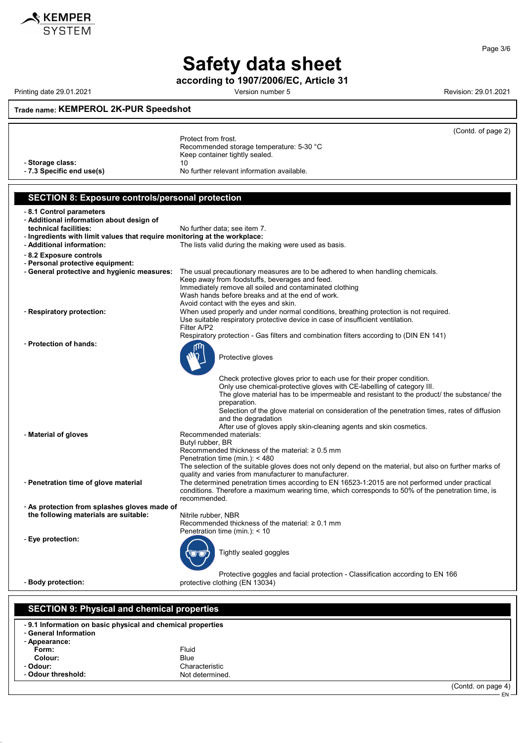

according to 1907/2006/EC, Article 31

Printing date 29.01.2021 **Printing date 29.01.2021** Cersion number 5

52.0.5

Page 3/6

## Trade name: KEMPEROL 2K-PUR Speedshot

|                                                                                       | (Contd. of page 2)                                                                                                               |
|---------------------------------------------------------------------------------------|----------------------------------------------------------------------------------------------------------------------------------|
|                                                                                       | Protect from frost.                                                                                                              |
|                                                                                       | Recommended storage temperature: 5-30 °C                                                                                         |
|                                                                                       | Keep container tightly sealed.                                                                                                   |
| - Storage class:                                                                      | 10                                                                                                                               |
| - 7.3 Specific end use(s)                                                             | No further relevant information available.                                                                                       |
|                                                                                       |                                                                                                                                  |
| <b>SECTION 8: Exposure controls/personal protection</b>                               |                                                                                                                                  |
| -8.1 Control parameters                                                               |                                                                                                                                  |
| - Additional information about design of                                              |                                                                                                                                  |
| technical facilities:                                                                 | No further data; see item 7.                                                                                                     |
| - Ingredients with limit values that require monitoring at the workplace:             |                                                                                                                                  |
| - Additional information:                                                             | The lists valid during the making were used as basis.                                                                            |
| - 8.2 Exposure controls                                                               |                                                                                                                                  |
| - Personal protective equipment:                                                      |                                                                                                                                  |
| - General protective and hygienic measures:                                           | The usual precautionary measures are to be adhered to when handling chemicals.<br>Keep away from foodstuffs, beverages and feed. |
|                                                                                       | Immediately remove all soiled and contaminated clothing                                                                          |
|                                                                                       | Wash hands before breaks and at the end of work.                                                                                 |
|                                                                                       | Avoid contact with the eyes and skin.                                                                                            |
| - Respiratory protection:                                                             | When used properly and under normal conditions, breathing protection is not required.                                            |
|                                                                                       | Use suitable respiratory protective device in case of insufficient ventilation.<br>Filter A/P2                                   |
|                                                                                       | Respiratory protection - Gas filters and combination filters according to (DIN EN 141)                                           |
| - Protection of hands:                                                                |                                                                                                                                  |
|                                                                                       |                                                                                                                                  |
|                                                                                       | Protective gloves                                                                                                                |
|                                                                                       |                                                                                                                                  |
|                                                                                       | Check protective gloves prior to each use for their proper condition.                                                            |
|                                                                                       | Only use chemical-protective gloves with CE-labelling of category III.                                                           |
|                                                                                       | The glove material has to be impermeable and resistant to the product/ the substance/ the                                        |
|                                                                                       | preparation.<br>Selection of the glove material on consideration of the penetration times, rates of diffusion                    |
|                                                                                       | and the degradation                                                                                                              |
|                                                                                       | After use of gloves apply skin-cleaning agents and skin cosmetics.                                                               |
| - Material of gloves                                                                  | Recommended materials:                                                                                                           |
|                                                                                       | Butyl rubber, BR                                                                                                                 |
|                                                                                       | Recommended thickness of the material: $\geq 0.5$ mm<br>Penetration time (min.): < 480                                           |
|                                                                                       | The selection of the suitable gloves does not only depend on the material, but also on further marks of                          |
|                                                                                       | quality and varies from manufacturer to manufacturer.                                                                            |
| - Penetration time of glove material                                                  | The determined penetration times according to EN 16523-1:2015 are not performed under practical                                  |
|                                                                                       | conditions. Therefore a maximum wearing time, which corresponds to 50% of the penetration time, is                               |
|                                                                                       | recommended.                                                                                                                     |
| - As protection from splashes gloves made of<br>the following materials are suitable: | Nitrile rubber, NBR                                                                                                              |
|                                                                                       | Recommended thickness of the material: $\geq 0.1$ mm                                                                             |
|                                                                                       | Penetration time (min.): < 10                                                                                                    |
| - Eye protection:                                                                     |                                                                                                                                  |
|                                                                                       | Tightly sealed goggles                                                                                                           |
|                                                                                       |                                                                                                                                  |
|                                                                                       | Protective goggles and facial protection - Classification according to EN 166                                                    |
| - Body protection:                                                                    | protective clothing (EN 13034)                                                                                                   |
|                                                                                       |                                                                                                                                  |
|                                                                                       |                                                                                                                                  |
| <b>SECTION 9: Physical and chemical properties</b>                                    |                                                                                                                                  |
|                                                                                       |                                                                                                                                  |
| -9.1 Information on basic physical and chemical properties<br>- General Information   |                                                                                                                                  |
| - Appearance:                                                                         |                                                                                                                                  |
| Form:                                                                                 | Fluid                                                                                                                            |
| Colour:                                                                               | <b>Blue</b>                                                                                                                      |
| - Odour:                                                                              | Characteristic                                                                                                                   |
| - Odour threshold:                                                                    | Not determined.                                                                                                                  |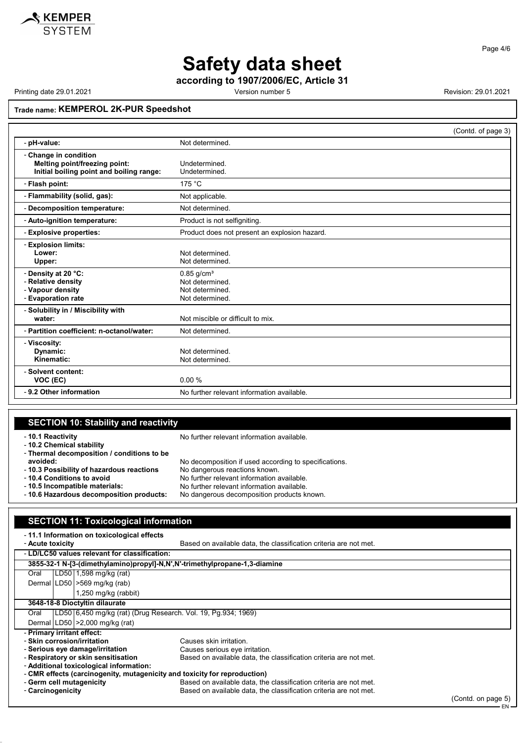according to 1907/2006/EC, Article 31

Printing date 29.01.2021 **Revision: 29.01.2021** Revision: 29.01.2021

52.0.5

#### Trade name: KEMPEROL 2K-PUR Speedshot

SECTION 11: Toxicological information

|                                                                                                    |                                                                | (Contd. of page 3) |
|----------------------------------------------------------------------------------------------------|----------------------------------------------------------------|--------------------|
| - pH-value:                                                                                        | Not determined.                                                |                    |
| - Change in condition<br>Melting point/freezing point:<br>Initial boiling point and boiling range: | Undetermined.<br>Undetermined.                                 |                    |
| - Flash point:                                                                                     | 175 °C                                                         |                    |
| - Flammability (solid, gas):                                                                       | Not applicable.                                                |                    |
| - Decomposition temperature:                                                                       | Not determined.                                                |                    |
| - Auto-ignition temperature:                                                                       | Product is not selfigniting.                                   |                    |
| - Explosive properties:                                                                            | Product does not present an explosion hazard.                  |                    |
| - Explosion limits:<br>Lower:<br>Upper:<br>- Density at 20 °C:                                     | Not determined.<br>Not determined.<br>$0.85$ g/cm <sup>3</sup> |                    |
| - Relative density<br>- Vapour density<br>- Evaporation rate                                       | Not determined.<br>Not determined.<br>Not determined.          |                    |
| - Solubility in / Miscibility with<br>water:                                                       | Not miscible or difficult to mix.                              |                    |
| - Partition coefficient: n-octanol/water:                                                          | Not determined.                                                |                    |
| - Viscosity:<br>Dynamic:<br>Kinematic:                                                             | Not determined.<br>Not determined.                             |                    |
| - Solvent content:<br>VOC (EC)                                                                     | 0.00%                                                          |                    |
| -9.2 Other information                                                                             | No further relevant information available.                     |                    |

#### SECTION 10: Stability and reactivity - 10.1 Reactivity **No further relevant information available.** - 10.2 Chemical stability - Thermal decomposition / conditions to be avoided: No decomposition if used according to specifications. - 10.3 Possibility of hazardous reactions No dangerous reactions known.<br>- 10.4 Conditions to avoid No further relevant information a - 10.4 Conditions to avoid Note 2008 No further relevant information available.<br>- 10.5 Incompatible materials: No further relevant information available. - 10.5 Incompatible materials:<br>- 10.6 Hazardous decomposition products: No dangerous decomposition products k No dangerous decomposition products known.

#### - 11.1 Information on toxicological effects<br>- Acute toxicity Based on available data, the classification criteria are not met. - LD/LC50 values relevant for classification: 3855-32-1 N-[3-(dimethylamino)propyl]-N,N',N'-trimethylpropane-1,3-diamine Oral LD50 1,598 mg/kg (rat) Dermal LD50 >569 mg/kg (rab) 1,250 mg/kg (rabbit) 3648-18-8 Dioctyltin dilaurate<br>Oral | LD50 6,450 mg/kg (ra LD50 6,450 mg/kg (rat) (Drug Research. Vol. 19, Pg.934; 1969) Dermal LD50 >2,000 mg/kg (rat) - Primary irritant effect: - Skin corrosion/irritation Causes skin irritation. - Serious eye damage/irritation Causes serious eye irritation. - Respiratory or skin sensitisation Based on available data, the classification criteria are not met. - Additional toxicological information: - CMR effects (carcinogenity, mutagenicity and toxicity for reproduction) - Germ cell mutagenicity Based on available data, the classification criteria are not met.<br>- Carcinogenicity Based on available data, the classification criteria are not met. Based on available data, the classification criteria are not met.

(Contd. on page 5) EN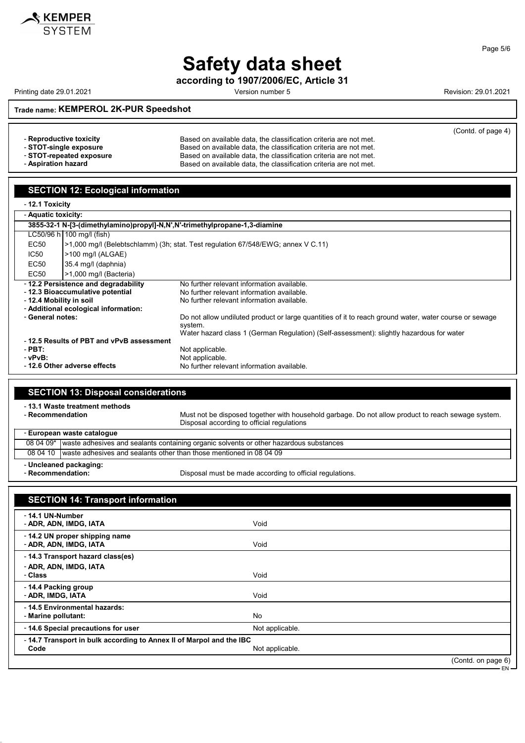

according to 1907/2006/EC, Article 31

Printing date 29.01.2021 **Printing date 29.01.2021** Cersion number 5

Trade name: KEMPEROL 2K-PUR Speedshot

|                          |                                                                   | (Contd. of page 4) |
|--------------------------|-------------------------------------------------------------------|--------------------|
| - Reproductive toxicity  | Based on available data, the classification criteria are not met. |                    |
| - STOT-single exposure   | Based on available data, the classification criteria are not met. |                    |
| - STOT-repeated exposure | Based on available data, the classification criteria are not met. |                    |
| - Aspiration hazard      | Based on available data, the classification criteria are not met. |                    |

| >1,000 mg/l (Bacteria)                                                                                 |  |
|--------------------------------------------------------------------------------------------------------|--|
|                                                                                                        |  |
|                                                                                                        |  |
|                                                                                                        |  |
|                                                                                                        |  |
| Do not allow undiluted product or large quantities of it to reach ground water, water course or sewage |  |
| Water hazard class 1 (German Regulation) (Self-assessment): slightly hazardous for water               |  |
|                                                                                                        |  |
|                                                                                                        |  |
|                                                                                                        |  |
|                                                                                                        |  |
|                                                                                                        |  |

| <b>SECTION 13: Disposal considerations</b>         |                                                                                                    |                                                                                                                                                  |  |  |
|----------------------------------------------------|----------------------------------------------------------------------------------------------------|--------------------------------------------------------------------------------------------------------------------------------------------------|--|--|
| - 13.1 Waste treatment methods<br>- Recommendation |                                                                                                    | Must not be disposed together with household garbage. Do not allow product to reach sewage system.<br>Disposal according to official regulations |  |  |
| - European waste catalogue                         |                                                                                                    |                                                                                                                                                  |  |  |
|                                                    | 08 04 09*   waste adhesives and sealants containing organic solvents or other hazardous substances |                                                                                                                                                  |  |  |
|                                                    |                                                                                                    | 08 04 10 waste adhesives and sealants other than those mentioned in 08 04 09                                                                     |  |  |

- Uncleaned packaging:<br>- Recommendation:

 $\overline{\phantom{a}}$ 

52.0.5

Disposal must be made according to official regulations.

| <b>SECTION 14: Transport information</b>                                                       |                 |                    |  |  |
|------------------------------------------------------------------------------------------------|-----------------|--------------------|--|--|
| - 14.1 UN-Number<br>- ADR, ADN, IMDG, IATA                                                     | Void            |                    |  |  |
| - 14.2 UN proper shipping name<br>- ADR, ADN, IMDG, IATA                                       | Void            |                    |  |  |
| - 14.3 Transport hazard class(es)                                                              |                 |                    |  |  |
| - ADR, ADN, IMDG, IATA<br>- Class                                                              | Void            |                    |  |  |
| -14.4 Packing group<br>- ADR, IMDG, IATA                                                       | Void            |                    |  |  |
| - 14.5 Environmental hazards:<br>- Marine pollutant:                                           | <b>No</b>       |                    |  |  |
| - 14.6 Special precautions for user                                                            | Not applicable. |                    |  |  |
| -14.7 Transport in bulk according to Annex II of Marpol and the IBC<br>Not applicable.<br>Code |                 |                    |  |  |
|                                                                                                |                 | (Contd. on page 6) |  |  |

EN